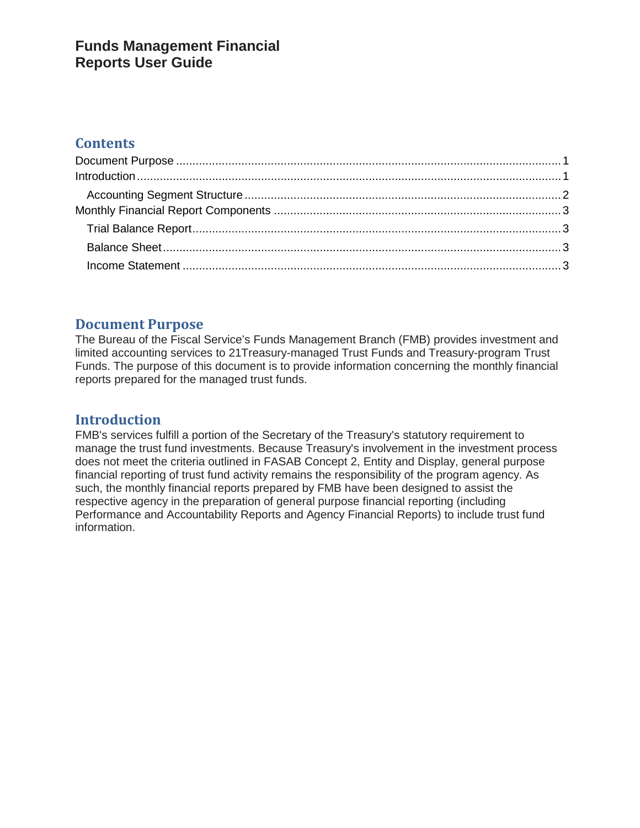## **Funds Management Financial Reports User Guide**

## **Contents**

### <span id="page-0-0"></span>**Document Purpose**

The Bureau of the Fiscal Service's Funds Management Branch (FMB) provides investment and limited accounting services to 21Treasury-managed Trust Funds and Treasury-program Trust Funds. The purpose of this document is to provide information concerning the monthly financial reports prepared for the managed trust funds.

### <span id="page-0-1"></span>**Introduction**

FMB's services fulfill a portion of the Secretary of the Treasury's statutory requirement to manage the trust fund investments. Because Treasury's involvement in the investment process does not meet the criteria outlined in FASAB Concept 2, Entity and Display, general purpose financial reporting of trust fund activity remains the responsibility of the program agency. As such, the monthly financial reports prepared by FMB have been designed to assist the respective agency in the preparation of general purpose financial reporting (including Performance and Accountability Reports and Agency Financial Reports) to include trust fund information.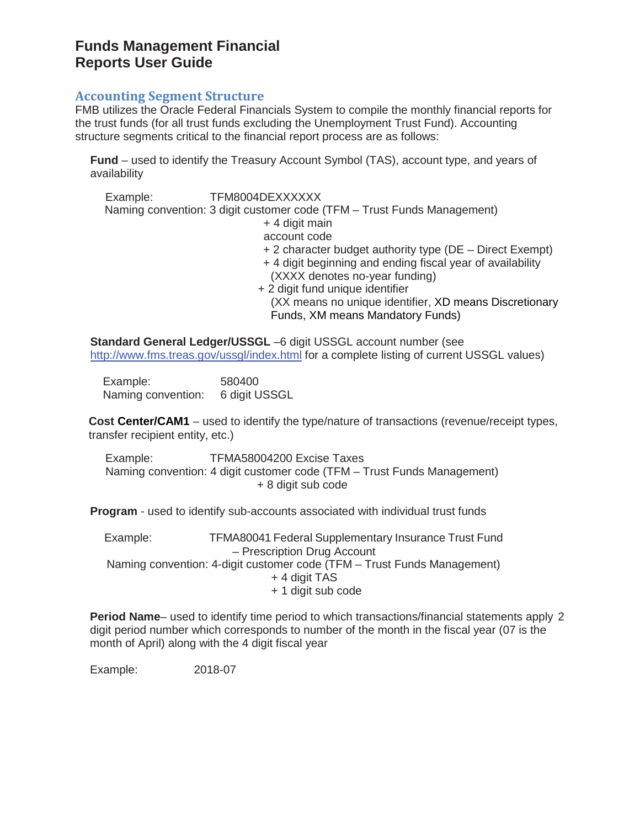## **Funds Management Financial Reports User Guide**

#### <span id="page-1-0"></span>**Accounting Segment Structure**

FMB utilizes the Oracle Federal Financials System to compile the monthly financial reports for the trust funds (for all trust funds excluding the Unemployment Trust Fund). Accounting structure segments critical to the financial report process are as follows:

**Fund** – used to identify the Treasury Account Symbol (TAS), account type, and years of availability

Example: TFM8004DEXXXXXX Naming convention: 3 digit customer code (TFM – Trust Funds Management) + 4 digit main account code + 2 character budget authority type (DE – Direct Exempt) + 4 digit beginning and ending fiscal year of availability (XXXX denotes no-year funding) + 2 digit fund unique identifier (XX means no unique identifier, XD means Discretionary Funds, XM means Mandatory Funds)

**Standard General Ledger/USSGL** –6 digit USSGL account number (see <http://www.fms.treas.gov/ussgl/index.html> for a complete listing of current USSGL values)

Example: 580400 Naming convention: 6 digit USSGL

**Cost Center/CAM1** – used to identify the type/nature of transactions (revenue/receipt types, transfer recipient entity, etc.)

Example: TFMA58004200 Excise Taxes Naming convention: 4 digit customer code (TFM – Trust Funds Management) + 8 digit sub code

**Program** - used to identify sub-accounts associated with individual trust funds

Example: TFMA80041 Federal Supplementary Insurance Trust Fund – Prescription Drug Account Naming convention: 4-digit customer code (TFM – Trust Funds Management) + 4 digit TAS + 1 digit sub code

**Period Name**– used to identify time period to which transactions/financial statements apply 2 digit period number which corresponds to number of the month in the fiscal year (07 is the month of April) along with the 4 digit fiscal year

Example: 2018-07